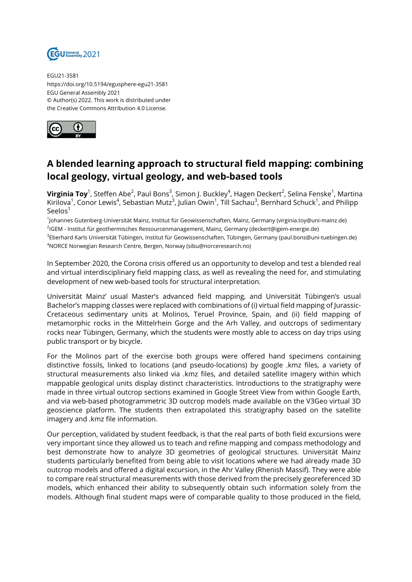

EGU21-3581 https://doi.org/10.5194/egusphere-egu21-3581 EGU General Assembly 2021 © Author(s) 2022. This work is distributed under the Creative Commons Attribution 4.0 License.



## **A blended learning approach to structural field mapping: combining local geology, virtual geology, and web-based tools**

**Virginia Toy**<sup>1</sup>, Steffen Abe<sup>2</sup>, Paul Bons<sup>3</sup>, Simon J. Buckley<sup>4</sup>, Hagen Deckert<sup>2</sup>, Selina Fenske<sup>1</sup>, Martina Kirilova $^1$ , Conor Lewis $^4$ , Sebastian Mutz $^3$ , Julian Owin $^1$ , Till Sachau $^3$ , Bernhard Schuck $^1$ , and Philipp  $Seelos<sup>1</sup>$ 

1 Johannes Gutenberg-Universität Mainz, Institut für Geowissenschaften, Mainz, Germany (virginia.toy@uni-mainz.de)

2 IGEM - Institut für geothermisches Ressourcenmanagement, Mainz, Germany (deckert@igem-energie.de)

<sup>3</sup>Eberhard Karls Universität Tübingen, Institut für Geowissenschaften, Tübingen, Germany (paul.bons@uni-tuebingen.de) <sup>4</sup>NORCE Norwegian Research Centre, Bergen, Norway (sibu@norceresearch.no)

In September 2020, the Corona crisis offered us an opportunity to develop and test a blended real and virtual interdisciplinary field mapping class, as well as revealing the need for, and stimulating development of new web-based tools for structural interpretation.

Universität Mainz' usual Master's advanced field mapping, and Universität Tübingen's usual Bachelor's mapping classes were replaced with combinations of (i) virtual field mapping of Jurassic-Cretaceous sedimentary units at Molinos, Teruel Province, Spain, and (ii) field mapping of metamorphic rocks in the Mittelrhein Gorge and the Arh Valley, and outcrops of sedimentary rocks near Tübingen, Germany, which the students were mostly able to access on day trips using public transport or by bicycle.

For the Molinos part of the exercise both groups were offered hand specimens containing distinctive fossils, linked to locations (and pseudo-locations) by google .kmz files, a variety of structural measurements also linked via .kmz files, and detailed satellite imagery within which mappable geological units display distinct characteristics. Introductions to the stratigraphy were made in three virtual outcrop sections examined in Google Street View from within Google Earth, and via web-based photogrammetric 3D outcrop models made available on the V3Geo virtual 3D geoscience platform. The students then extrapolated this stratigraphy based on the satellite imagery and .kmz file information.

Our perception, validated by student feedback, is that the real parts of both field excursions were very important since they allowed us to teach and refine mapping and compass methodology and best demonstrate how to analyze 3D geometries of geological structures. Universität Mainz students particularly benefited from being able to visit locations where we had already made 3D outcrop models and offered a digital excursion, in the Ahr Valley (Rhenish Massif). They were able to compare real structural measurements with those derived from the precisely georeferenced 3D models, which enhanced their ability to subsequently obtain such information solely from the models. Although final student maps were of comparable quality to those produced in the field,